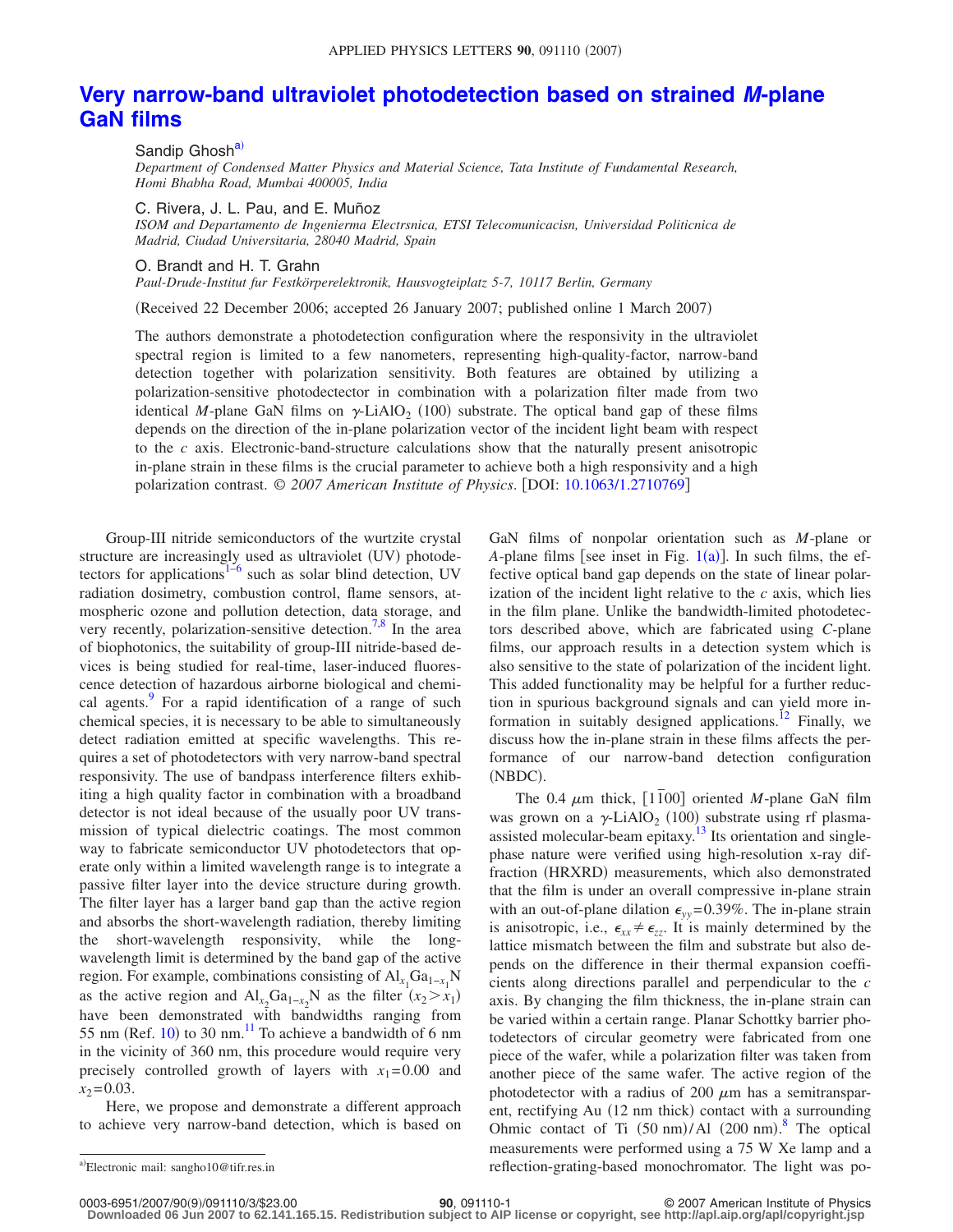## **[Very narrow-band ultraviolet photodetection based on strained](http://dx.doi.org/10.1063/1.2710769)** *M***-plane [GaN films](http://dx.doi.org/10.1063/1.2710769)**

Sandip Ghosh<sup>a)</sup> *Department of Condensed Matter Physics and Material Science, Tata Institute of Fundamental Research, Homi Bhabha Road, Mumbai 400005, India*

C. Rivera, J. L. Pau, and E. Muñoz

*ISOM and Departamento de Ingenierma Electrsnica, ETSI Telecomunicacisn, Universidad Politicnica de Madrid, Ciudad Universitaria, 28040 Madrid, Spain*

O. Brandt and H. T. Grahn

*Paul-Drude-Institut fur Festkörperelektronik, Hausvogteiplatz 5-7, 10117 Berlin, Germany*

(Received 22 December 2006; accepted 26 January 2007; published online 1 March 2007)

The authors demonstrate a photodetection configuration where the responsivity in the ultraviolet spectral region is limited to a few nanometers, representing high-quality-factor, narrow-band detection together with polarization sensitivity. Both features are obtained by utilizing a polarization-sensitive photodectector in combination with a polarization filter made from two identical M-plane GaN films on  $\gamma$ -LiAlO<sub>2</sub> (100) substrate. The optical band gap of these films depends on the direction of the in-plane polarization vector of the incident light beam with respect to the *c* axis. Electronic-band-structure calculations show that the naturally present anisotropic in-plane strain in these films is the crucial parameter to achieve both a high responsivity and a high polarization contrast. © *2007 American Institute of Physics*. DOI: [10.1063/1.2710769](http://dx.doi.org/10.1063/1.2710769)

Group-III nitride semiconductors of the wurtzite crystal structure are increasingly used as ultraviolet (UV) photode-tectors for applications<sup>1-[6](#page-2-1)</sup> such as solar blind detection, UV radiation dosimetry, combustion control, flame sensors, atmospheric ozone and pollution detection, data storage, and very recently, polarization-sensitive detection.<sup>7[,8](#page-2-3)</sup> In the area of biophotonics, the suitability of group-III nitride-based devices is being studied for real-time, laser-induced fluorescence detection of hazardous airborne biological and chemical agents.<sup>9</sup> For a rapid identification of a range of such chemical species, it is necessary to be able to simultaneously detect radiation emitted at specific wavelengths. This requires a set of photodetectors with very narrow-band spectral responsivity. The use of bandpass interference filters exhibiting a high quality factor in combination with a broadband detector is not ideal because of the usually poor UV transmission of typical dielectric coatings. The most common way to fabricate semiconductor UV photodetectors that operate only within a limited wavelength range is to integrate a passive filter layer into the device structure during growth. The filter layer has a larger band gap than the active region and absorbs the short-wavelength radiation, thereby limiting the short-wavelength responsivity, while the longwavelength limit is determined by the band gap of the active region. For example, combinations consisting of  $\text{Al}_{x_1} \text{Ga}_{1-x_1} \text{N}$ as the active region and  $\text{Al}_{x_2}\text{Ga}_{1-x_2}\text{N}$  as the filter  $(x_2 > x_1)$ have been demonstrated with bandwidths ranging from 55 nm (Ref. [10](#page-2-5)) to 30 nm. $^{11}$  To achieve a bandwidth of 6 nm in the vicinity of 360 nm, this procedure would require very precisely controlled growth of layers with  $x_1 = 0.00$  and  $x_2 = 0.03$ .

<span id="page-0-0"></span>Here, we propose and demonstrate a different approach to achieve very narrow-band detection, which is based on GaN films of nonpolar orientation such as *M*-plane or *A*-plane films [see inset in Fig.  $1(a)$  $1(a)$ ]. In such films, the effective optical band gap depends on the state of linear polarization of the incident light relative to the *c* axis, which lies in the film plane. Unlike the bandwidth-limited photodetectors described above, which are fabricated using *C*-plane films, our approach results in a detection system which is also sensitive to the state of polarization of the incident light. This added functionality may be helpful for a further reduction in spurious background signals and can yield more information in suitably designed applications.<sup>12</sup> Finally, we discuss how the in-plane strain in these films affects the performance of our narrow-band detection configuration (NBDC).

The 0.4  $\mu$ m thick, [1100] oriented *M*-plane GaN film was grown on a  $\gamma$ -LiAlO<sub>2</sub> (100) substrate using rf plasmaassisted molecular-beam epitaxy.<sup>13</sup> Its orientation and singlephase nature were verified using high-resolution x-ray diffraction (HRXRD) measurements, which also demonstrated that the film is under an overall compressive in-plane strain with an out-of-plane dilation  $\epsilon_{yy}$ =0.39%. The in-plane strain is anisotropic, i.e.,  $\epsilon_{xx} \neq \epsilon_{zz}$ . It is mainly determined by the lattice mismatch between the film and substrate but also depends on the difference in their thermal expansion coefficients along directions parallel and perpendicular to the *c* axis. By changing the film thickness, the in-plane strain can be varied within a certain range. Planar Schottky barrier photodetectors of circular geometry were fabricated from one piece of the wafer, while a polarization filter was taken from another piece of the same wafer. The active region of the photodetector with a radius of 200  $\mu$ m has a semitransparent, rectifying Au (12 nm thick) contact with a surrounding Ohmic contact of Ti  $(50 \text{ nm})$ /Al  $(200 \text{ nm})$ .<sup>[8](#page-2-3)</sup> The optical measurements were performed using a 75 W Xe lamp and a reflection-grating-based monochromator. The light was po-

Electronic mail: sangho10@tifr.res.in

<sup>0003-6951/2007/90(9)/091110/3/\$23.00 90, 091110-1&</sup>lt;br>Downloaded 06 Jun 2007 to 62.141.165.15. Redistribution subject to AIP license or copyright, see http://apl.aip.org/apl/copyright.jsp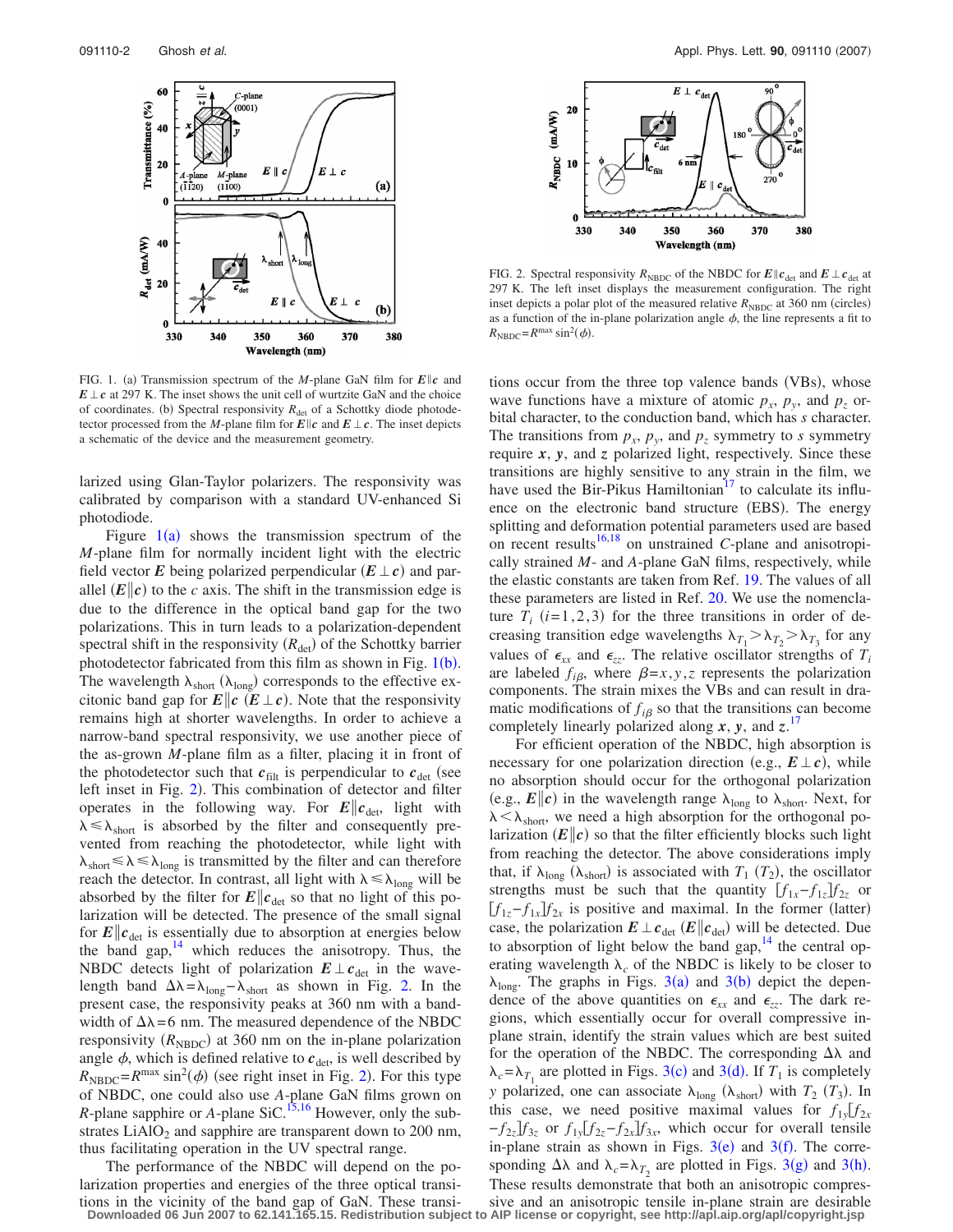<span id="page-1-0"></span>

FIG. 1. (a) Transmission spectrum of the *M*-plane GaN film for  $E||c$  and  $E \perp c$  at 297 K. The inset shows the unit cell of wurtzite GaN and the choice of coordinates. (b) Spectral responsivity  $R_{\text{det}}$  of a Schottky diode photodetector processed from the *M*-plane film for  $E||c$  and  $E \perp c$ . The inset depicts a schematic of the device and the measurement geometry.

larized using Glan-Taylor polarizers. The responsivity was calibrated by comparison with a standard UV-enhanced Si photodiode.

Figure  $1(a)$  $1(a)$  shows the transmission spectrum of the *M*-plane film for normally incident light with the electric field vector E being polarized perpendicular  $(E \perp c)$  and parallel  $(E||c)$  to the *c* axis. The shift in the transmission edge is due to the difference in the optical band gap for the two polarizations. This in turn leads to a polarization-dependent spectral shift in the responsivity  $(R_{\text{det}})$  of the Schottky barrier photodetector fabricated from this film as shown in Fig.  $1(b)$  $1(b)$ . The wavelength  $\lambda_{short}$  ( $\lambda_{long}$ ) corresponds to the effective excitonic band gap for  $E\|c \ (E\,\bot\, c)$ . Note that the responsivity remains high at shorter wavelengths. In order to achieve a narrow-band spectral responsivity, we use another piece of the as-grown *M*-plane film as a filter, placing it in front of the photodetector such that  $c_{\text{filt}}$  is perpendicular to  $c_{\text{det}}$  (see left inset in Fig. [2](#page-1-1)). This combination of detector and filter operates in the following way. For  $E||c_{\text{det}}$ , light with  $\lambda \leq \lambda_{short}$  is absorbed by the filter and consequently prevented from reaching the photodetector, while light with  $\lambda_{short} \leq \lambda \leq \lambda_{long}$  is transmitted by the filter and can therefore reach the detector. In contrast, all light with  $\lambda \leq \lambda_{\text{long}}$  will be absorbed by the filter for  $E\|c_{\text{det}}\|$  so that no light of this polarization will be detected. The presence of the small signal for  $E\|c_{\text{det}}$  is essentially due to absorption at energies below the band gap, $14$  which reduces the anisotropy. Thus, the NBDC detects light of polarization  $E \perp c_{\text{det}}$  in the wavelength band  $\Delta\lambda = \lambda_{\text{long}} - \lambda_{\text{short}}$  as shown in Fig. [2.](#page-1-1) In the present case, the responsivity peaks at 360 nm with a bandwidth of  $\Delta \lambda = 6$  nm. The measured dependence of the NBDC responsivity  $(R_{\text{NBDC}})$  at 360 nm on the in-plane polarization angle  $\phi$ , which is defined relative to  $c_{\text{det}}$ , is well described by  $R_{\text{NBDC}} = R^{\text{max}} \sin^2(\phi)$  $R_{\text{NBDC}} = R^{\text{max}} \sin^2(\phi)$  $R_{\text{NBDC}} = R^{\text{max}} \sin^2(\phi)$  (see right inset in Fig. 2). For this type of NBDC, one could also use *A*-plane GaN films grown on *R*-plane sapphire or *A*-plane SiC.<sup>15,[16](#page-2-11)</sup> However, only the substrates  $LiAlO<sub>2</sub>$  and sapphire are transparent down to 200 nm, thus facilitating operation in the UV spectral range.

The performance of the NBDC will depend on the polarization properties and energies of the three optical transi-

<span id="page-1-1"></span>

FIG. 2. Spectral responsivity  $R_{\text{NBDC}}$  of the NBDC for  $E||c_{\text{det}}$  and  $E \perp c_{\text{det}}$  at 297 K. The left inset displays the measurement configuration. The right inset depicts a polar plot of the measured relative  $R_{\text{NBDC}}$  at 360 nm (circles) as a function of the in-plane polarization angle  $\phi$ , the line represents a fit to  $R_{\text{NBDC}} = R^{\text{max}} \sin^2(\phi).$ 

tions occur from the three top valence bands (VBs), whose wave functions have a mixture of atomic  $p_x$ ,  $p_y$ , and  $p_z$  orbital character, to the conduction band, which has *s* character. The transitions from  $p_x$ ,  $p_y$ , and  $p_z$  symmetry to *s* symmetry require *x*, *y*, and *z* polarized light, respectively. Since these transitions are highly sensitive to any strain in the film, we have used the Bir-Pikus Hamiltonian<sup>17</sup> to calculate its influence on the electronic band structure (EBS). The energy splitting and deformation potential parameters used are based on recent results<sup>16,[18](#page-2-13)</sup> on unstrained *C*-plane and anisotropically strained *M*- and *A*-plane GaN films, respectively, while the elastic constants are taken from Ref. [19.](#page-2-14) The values of all these parameters are listed in Ref. [20.](#page-2-15) We use the nomenclature  $T_i$  ( $i=1,2,3$ ) for the three transitions in order of decreasing transition edge wavelengths  $\lambda_{T_1} > \lambda_{T_2} > \lambda_{T_3}$  for any values of  $\epsilon_{xx}$  and  $\epsilon_{zz}$ . The relative oscillator strengths of  $T_i$ are labeled  $f_{i\beta}$ , where  $\beta = x, y, z$  represents the polarization components. The strain mixes the VBs and can result in dramatic modifications of  $f_{i\beta}$  so that the transitions can become completely linearly polarized along  $x$ ,  $y$ , and  $z$ .<sup>[17](#page-2-12)</sup>

For efficient operation of the NBDC, high absorption is necessary for one polarization direction (e.g.,  $E \perp c$ ), while no absorption should occur for the orthogonal polarization (e.g.,  $E||c$ ) in the wavelength range  $\lambda_{long}$  to  $\lambda_{short}$ . Next, for  $\lambda < \lambda_{short}$ , we need a high absorption for the orthogonal polarization  $(E||c)$  so that the filter efficiently blocks such light from reaching the detector. The above considerations imply that, if  $\lambda_{\text{long}}$  ( $\lambda_{\text{short}}$ ) is associated with  $T_1$  ( $T_2$ ), the oscillator strengths must be such that the quantity  $[f_{1x} - f_{1z}]f_{2z}$  or  $[f_{1z} - f_{1x}]f_{2x}$  is positive and maximal. In the former (latter) case, the polarization  $E \perp c_{\text{det}} (E \| c_{\text{det}})$  will be detected. Due to absorption of light below the band gap,  $14$  the central operating wavelength  $\lambda_c$  of the NBDC is likely to be closer to  $\lambda_{\text{long}}$ . The graphs in Figs. [3](#page-2-16)(a) and 3(b) depict the dependence of the above quantities on  $\epsilon_{xx}$  and  $\epsilon_{zz}$ . The dark regions, which essentially occur for overall compressive inplane strain, identify the strain values which are best suited for the operation of the NBDC. The corresponding  $\Delta\lambda$  and  $\lambda_c = \lambda_{T_1}$  are plotted in Figs. [3](#page-2-16)(c) and 3(d). If  $T_1$  is completely *y* polarized, one can associate  $\lambda_{\text{long}}$  ( $\lambda_{\text{short}}$ ) with  $T_2$  ( $T_3$ ). In this case, we need positive maximal values for  $f_{1y} [f_{2x}]$  $-f_{2z}f_{3z}$  or  $f_{1y}f_{2z} - f_{2x}f_{3x}$ , which occur for overall tensile in-plane strain as shown in Figs.  $3(e)$  $3(e)$  and  $3(f)$ . The corresponding  $\Delta\lambda$  and  $\lambda_c = \lambda_{T_2}$  are plotted in Figs. [3](#page-2-16)(g) and 3(h). These results demonstrate that both an anisotropic compres-

tions in the vicinity of the band gap of GaN. These transi-<br>Downloaded 06 Jun 2007 to 62.141.165.15. Redistribution subject to AIP license or copyright, see http://apl.aip.org/apl/copyright.jsp